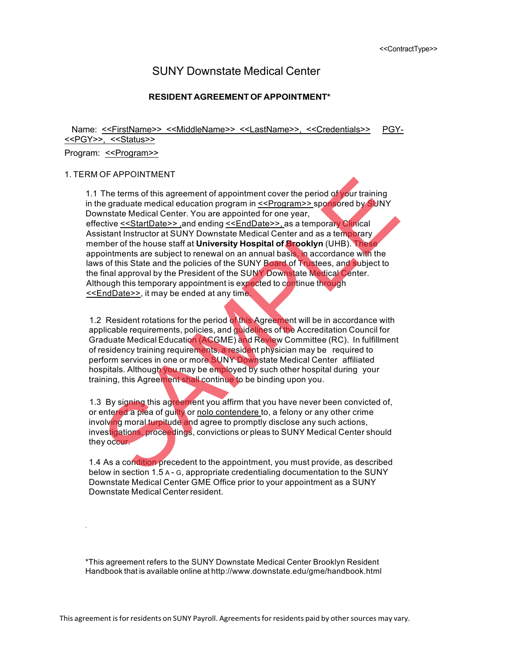# SUNY Downstate Medical Center

# **RESIDENT AGREEMENTOF APPOINTMENT\***

Name: <<FirstName>> <<MiddleName>> <<LastName>>, <<Credentials>> PGY-<<PGY>>, <<Status>>

#### Program: << Program>>

.

#### 1. TERM OF APPOINTMENT

1.1 The terms of this agreement of appointment cover the period of your training in the graduate medical education program in <<Program>> sponsored by SUNY Downstate Medical Center. You are appointed for one year, effective <<StartDate>> ,and ending <<EndDate>>, as a temporary Clinical Assistant Instructor at SUNY Downstate Medical Center and as a temporary member of the house staff at **University Hospital of Brooklyn** (UHB). These appointments are subject to renewal on an annual basis, in accordance with the laws of this State and the policies of the SUNY Board of Trustees, and subject to the final approval by the President of the SUNY Downstate Medical Center. Although this temporary appointment is expected to continue through <<EndDate>>, it may be ended at any time. The terms of this agreement of appointment cover the period of your training<br>The graduate medical education program in <u><<Program>></u> sponsored by SUNY<br>Instate Medical Center. You are appointed for one year,<br>citive <u><SStart</u>

1.2 Resident rotations for the period of this Agreement will be in accordance with applicable requirements, policies, and guidelines of the Accreditation Council for Graduate Medical Education (ACGME) and Review Committee (RC). In fulfillment of residency training requirements, a resident physician may be required to perform services in one or more SUNY Downstate Medical Center affiliated hospitals. Although you may be employed by such other hospital during your training, this Agreement shall continue to be binding upon you.

1.3 By signing this agreement you affirm that you have never been convicted of, or entered a plea of guilty or nolo contendere to, a felony or any other crime involving moral turpitude and agree to promptly disclose any such actions, investigations, proceedings, convictions or pleas to SUNY Medical Center should they occur.

1.4 As a condition precedent to the appointment, you must provide, as described below in section 1.5 A - G, appropriate credentialing documentation to the SUNY Downstate Medical Center GME Office prior to your appointment as a SUNY Downstate Medical Center resident.

\*This agreement refers to the SUNY Downstate Medical Center Brooklyn Resident Handbook that is available online at http://www.downstate.edu/gme/handbook.html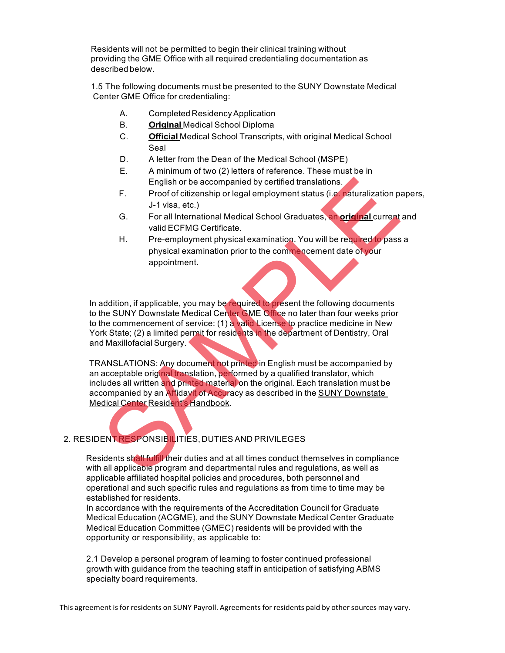Residents will not be permitted to begin their clinical training without providing the GME Office with all required credentialing documentation as described below.

1.5 The following documents must be presented to the SUNY Downstate Medical Center GME Office for credentialing:

- A. Completed ResidencyApplication
- B. **Original** Medical School Diploma
- C. **Official** Medical School Transcripts, with original Medical School Seal
- D. A letter from the Dean of the Medical School (MSPE)
- E. A minimum of two (2) letters of reference. These must be in English or be accompanied by certified translations.
- F. Proof of citizenship or legal employment status (i.e. naturalization papers, J-1 visa, etc.)
- G. For all International Medical School Graduates, an **original** current and valid ECFMG Certificate.
- H. Pre-employment physical examination. You will be required to pass a physical examination prior to the commencement date of your appointment.

In addition, if applicable, you may be required to present the following documents to the SUNY Downstate Medical Center GME Office no later than four weeks prior to the commencement of service: (1) a valid License to practice medicine in New York State; (2) a limited permit for residents in the department of Dentistry, Oral and Maxillofacial Surgery. English or be accompanied by certified translations.<br>
F. Proof of citizenship or legal employment status (i.e. naturalization p<br>
J-1 visa, etc.)<br>
G. For all International Medical School Graduates, an original current<br>
vali

TRANSLATIONS: Any document not printed in English must be accompanied by an acceptable original translation, performed by a qualified translator, which includes all written and printed material on the original. Each translation must be accompanied by an Affidavit of Accuracy as described in the SUNY Downstate Medical Center Resident's Handbook.

# 2. RESIDENT RESPONSIBILITIES, DUTIES AND PRIVILEGES

Residents shall fulfill their duties and at all times conduct themselves in compliance with all applicable program and departmental rules and regulations, as well as applicable affiliated hospital policies and procedures, both personnel and operational and such specific rules and regulations as from time to time may be established for residents.

In accordance with the requirements of the Accreditation Council for Graduate Medical Education (ACGME), and the SUNY Downstate Medical Center Graduate Medical Education Committee (GMEC) residents will be provided with the opportunity or responsibility, as applicable to:

2.1 Develop a personal program of learning to foster continued professional growth with guidance from the teaching staff in anticipation of satisfying ABMS specialty board requirements.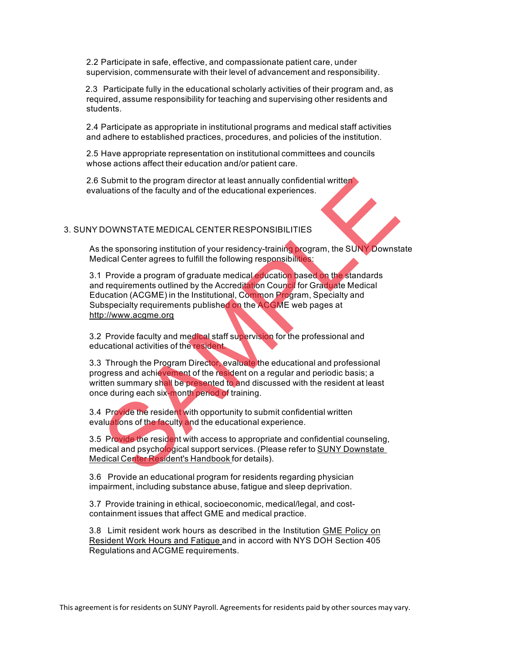2.2 Participate in safe, effective, and compassionate patient care, under supervision, commensurate with their level of advancement and responsibility.

2.3 Participate fully in the educational scholarly activities of their program and, as required, assume responsibility for teaching and supervising other residents and students.

2.4 Participate as appropriate in institutional programs and medical staff activities and adhere to established practices, procedures, and policies of the institution.

2.5 Have appropriate representation on institutional committees and councils whose actions affect their education and/or patient care.

2.6 Submit to the program director at least annually confidential written evaluations of the faculty and of the educational experiences.

## 3. SUNY DOWNSTATE MEDICAL CENTER RESPONSIBILITIES

As the sponsoring institution of your residency-training program, the SUNY Downstate Medical Center agrees to fulfill the following responsibilities:

3.1 Provide a program of graduate medical education based on the standards and requirements outlined by the Accreditation Council for Graduate Medical Education (ACGME) in the Institutional, Common Program, Specialty and Subspecialty requirements published on the ACGME web pages at http://www.acgme.org Submit to the program director at least annually confidential written<br>
Luations of the faculty and of the educational experiences.<br>
DOWNSTATE MEDICAL CENTER RESPONSIBILITIES<br>
the sponsoring institution of your residency-tr

3.2 Provide faculty and medical staff supervision for the professional and educational activities of the resident.

3.3 Through the Program Director, evaluate the educational and professional progress and achievement of the resident on a regular and periodic basis; a written summary shall be presented to and discussed with the resident at least once during each six-month period of training.

3.4 Provide the resident with opportunity to submit confidential written evaluations of the faculty and the educational experience.

3.5 Provide the resident with access to appropriate and confidential counseling, medical and psychological support services. (Please refer to **SUNY Downstate** Medical Center Resident's Handbook for details).

3.6 Provide an educational program for residents regarding physician impairment, including substance abuse, fatigue and sleep deprivation.

3.7 Provide training in ethical, socioeconomic, medical/legal, and costcontainment issues that affect GME and medical practice.

3.8 Limit resident work hours as described in the Institution GME Policy on Resident Work Hours and Fatigue and in accord with NYS DOH Section 405 Regulations and ACGME requirements.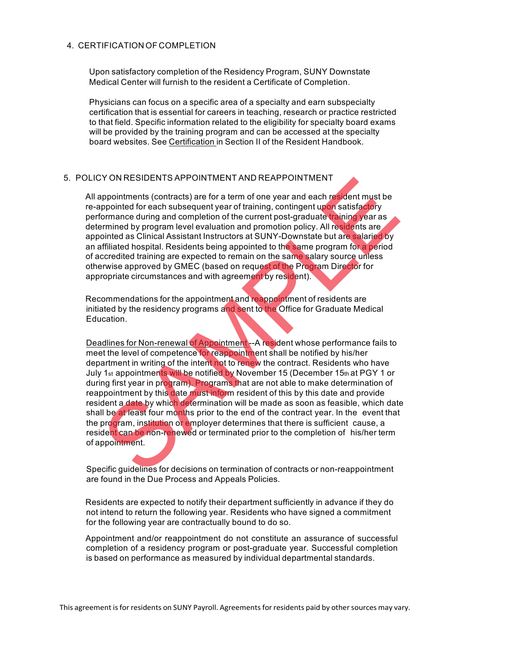# 4. CERTIFICATION OF COMPLETION

Upon satisfactory completion of the Residency Program, SUNY Downstate Medical Center will furnish to the resident a Certificate of Completion.

Physicians can focus on a specific area of a specialty and earn subspecialty certification that is essential for careers in teaching, research or practice restricted to that field. Specific information related to the eligibility for specialty board exams will be provided by the training program and can be accessed at the specialty board websites. See Certification in Section II of the Resident Handbook.

# 5. POLICY ON RESIDENTS APPOINTMENT AND REAPPOINTMENT

All appointments (contracts) are for a term of one year and each resident must be re-appointed for each subsequent year of training, contingent upon satisfactory performance during and completion of the current post-graduate training year as determined by program level evaluation and promotion policy. All residents are appointed as Clinical Assistant Instructors at SUNY-Downstate but are salaried by an affiliated hospital. Residents being appointed to the same program for a period of accredited training are expected to remain on the same salary source unless otherwise approved by GMEC (based on request of the Program Director for appropriate circumstances and with agreement by resident).

Recommendations for the appointment and reappointment of residents are initiated by the residency programs and sent to the Office for Graduate Medical Education.

Deadlines for Non-renewal of Appointment -- A resident whose performance fails to meet the level of competence for reappointment shall be notified by his/her department in writing of the intent not to renew the contract. Residents who have July 1<sub>st</sub> appointments will be notified by November 15 (December 15th at PGY 1 or during first year in program). Programs that are not able to make determination of reappointment by this date must inform resident of this by this date and provide resident a date by which determination will be made as soon as feasible, which date shall be at least four months prior to the end of the contract year. In the event that the program, institution or employer determines that there is sufficient cause, a resident can be non-renewed or terminated prior to the completion of his/her term of appointment. ITY ON RESIDENTS APPOINT IMENT AND REAPPOINT IMENT<br>propintments (contracts) are for a term of one year and each resident must be<br>propinted for each subsequent year of training, contringent upon satisfactory<br>ormance during

Specific guidelines for decisions on termination of contracts or non-reappointment are found in the Due Process and Appeals Policies.

Residents are expected to notify their department sufficiently in advance if they do not intend to return the following year. Residents who have signed a commitment for the following year are contractually bound to do so.

Appointment and/or reappointment do not constitute an assurance of successful completion of a residency program or post-graduate year. Successful completion is based on performance as measured by individual departmental standards.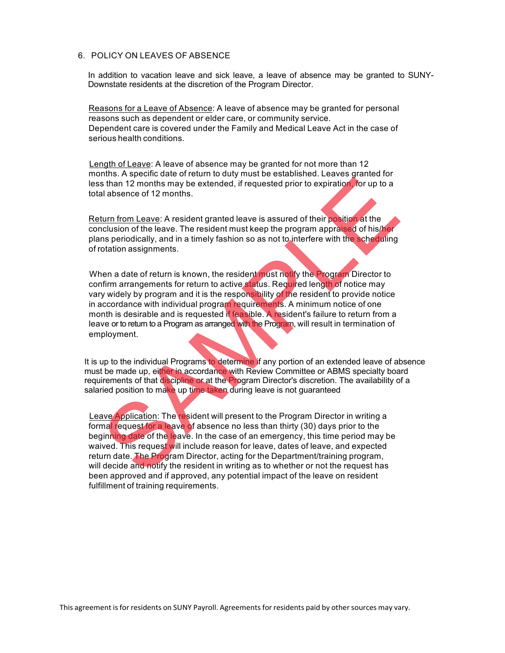## 6. POLICY ON LEAVES OF ABSENCE

In addition to vacation leave and sick leave, a leave of absence may be granted to SUNY-Downstate residents at the discretion of the Program Director.

Reasons for a Leave of Absence: A leave of absence may be granted for personal reasons such as dependent or elder care, or community service. Dependent care is covered under the Family and Medical Leave Act in the case of serious health conditions.

Length of Leave: A leave of absence may be granted for not more than 12 months. A specific date of return to duty must be established. Leaves granted for less than 12 months may be extended, if requested prior to expiration, for up to a total absence of 12 months.

Return from Leave: A resident granted leave is assured of their position at the conclusion of the leave. The resident must keep the program appraised of his/her plans periodically, and in a timely fashion so as not to interfere with the scheduling of rotation assignments.

When a date of return is known, the resident must notify the Program Director to confirm arrangements for return to active status. Required length of notice may vary widely by program and it is the responsibility of the resident to provide notice in accordance with individual program requirements. A minimum notice of one month is desirable and is requested if feasible. A resident's failure to return from a leave or to return to a Program as arranged with the Program, will result in termination of employment. then the matter of the lawer. The resident with Review Committee or ABMS specifies and motify the resident of the lawer of the matter of the lawer of the lawer of the lawer of the lawer of the lawer of the lawer of the law

It is up to the individual Programs to determine if any portion of an extended leave of absence must be made up, either in accordance with Review Committee or ABMS specialty board requirements of that discipline or at the Program Director's discretion. The availability of a salaried position to make up time taken during leave is not guaranteed

Leave Application: The resident will present to the Program Director in writing a formal request for a leave of absence no less than thirty (30) days prior to the beginning date of the leave. In the case of an emergency, this time period may be waived. This request will include reason for leave, dates of leave, and expected return date. The Program Director, acting for the Department/training program, will decide and notify the resident in writing as to whether or not the request has been approved and if approved, any potential impact of the leave on resident fulfillment of training requirements.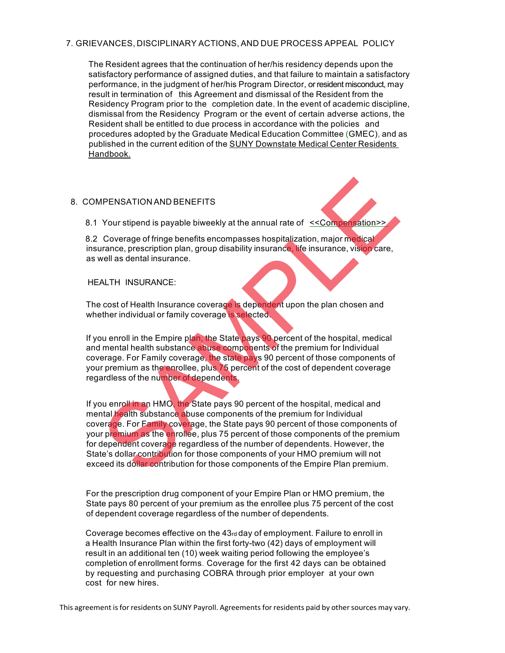# 7. GRIEVANCES, DISCIPLINARY ACTIONS, AND DUE PROCESS APPEAL POLICY

The Resident agrees that the continuation of her/his residency depends upon the satisfactory performance of assigned duties, and that failure to maintain a satisfactory performance, in the judgment of her/his Program Director, or resident misconduct, may result in termination of this Agreement and dismissal of the Resident from the Residency Program prior to the completion date. In the event of academic discipline, dismissal from the Residency Program or the event of certain adverse actions, the Resident shall be entitled to due process in accordance with the policies and procedures adopted by the Graduate Medical Education Committee (GMEC), and as published in the current edition of the SUNY Downstate Medical Center Residents Handbook.

## 8. COMPENSATION AND BENEFITS

8.1 Your stipend is payable biweekly at the annual rate of <<Compensation>>

8.2 Coverage of fringe benefits encompasses hospitalization, major medical insurance, prescription plan, group disability insurance, life insurance, vision care, as well as dental insurance.

#### HEALTH INSURANCE:

The cost of Health Insurance coverage is dependent upon the plan chosen and whether individual or family coverage is selected.

If you enroll in the Empire plan, the State pays 90 percent of the hospital, medical and mental health substance abuse components of the premium for Individual coverage. For Family coverage, the state pays 90 percent of those components of your premium as the enrollee, plus 75 percent of the cost of dependent coverage regardless of the number of dependents.

If you enroll in an HMO, the State pays 90 percent of the hospital, medical and mental health substance abuse components of the premium for Individual coverage. For Family coverage, the State pays 90 percent of those components of your premium as the enrollee, plus 75 percent of those components of the premium for dependent coverage regardless of the number of dependents. However, the State's dollar contribution for those components of your HMO premium will not exceed its dollar contribution for those components of the Empire Plan premium. New SATION AND BENEFITS<br>
Your stipend is payable biweekly at the annual rate of  $\leq$ Compensation><br>
Coverage of fringe benefits encompasses hospitalization, major methods<br>
rance, prescription plan, group disability insuran

For the prescription drug component of your Empire Plan or HMO premium, the State pays 80 percent of your premium as the enrollee plus 75 percent of the cost of dependent coverage regardless of the number of dependents.

Coverage becomes effective on the 43rd day of employment. Failure to enroll in a Health Insurance Plan within the first forty-two (42) days of employment will result in an additional ten (10) week waiting period following the employee's completion of enrollment forms. Coverage for the first 42 days can be obtained by requesting and purchasing COBRA through prior employer at your own cost for new hires.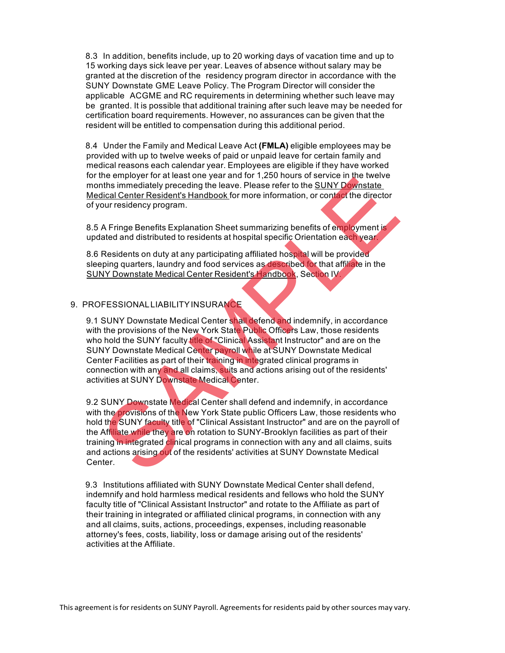8.3 In addition, benefits include, up to 20 working days of vacation time and up to 15 working days sick leave per year. Leaves of absence without salary may be granted at the discretion of the residency program director in accordance with the SUNY Downstate GME Leave Policy. The Program Director will consider the applicable ACGME and RC requirements in determining whether such leave may be granted. It is possible that additional training after such leave may be needed for certification board requirements. However, no assurances can be given that the resident will be entitled to compensation during this additional period.

8.4 Under the Family and Medical Leave Act **(FMLA)** eligible employees may be provided with up to twelve weeks of paid or unpaid leave for certain family and medical reasons each calendar year. Employees are eligible if they have worked for the employer for at least one year and for 1,250 hours of service in the twelve months immediately preceding the leave. Please refer to the SUNY Downstate Medical Center Resident's Handbook for more information, or contact the director of your residency program.

8.5 A Fringe Benefits Explanation Sheet summarizing benefits of employment is updated and distributed to residents at hospital specific Orientation each year.

8.6 Residents on duty at any participating affiliated hospital will be provided sleeping quarters, laundry and food services as described for that affiliate in the SUNY Downstate Medical Center Resident's Handbook, Section IV.

### 9. PROFESSIONALLIABILITYINSURANCE

9.1 SUNY Downstate Medical Center shall defend and indemnify, in accordance with the provisions of the New York State Public Officers Law, those residents who hold the SUNY faculty title of "Clinical Assistant Instructor" and are on the SUNY Downstate Medical Center payroll while at SUNY Downstate Medical Center Facilities as part of their training in integrated clinical programs in connection with any and all claims, suits and actions arising out of the residents' activities at SUNY Downstate Medical Center.

9.2 SUNY Downstate Medical Center shall defend and indemnify, in accordance with the provisions of the New York State public Officers Law, those residents who hold the SUNY faculty title of "Clinical Assistant Instructor" and are on the payroll of the Affiliate while they are on rotation to SUNY-Brooklyn facilities as part of their training in integrated clinical programs in connection with any and all claims, suits and actions arising out of the residents' activities at SUNY Downstate Medical Center. ine employer on a creasurole gran anti-toric and the simmediately preceding the leave. Please refer to the SUNY Downstate<br>dical Center Resident's Handbook for more information, or contact the director<br>our residency program

9.3 Institutions affiliated with SUNY Downstate Medical Center shall defend, indemnify and hold harmless medical residents and fellows who hold the SUNY faculty title of "Clinical Assistant Instructor" and rotate to the Affiliate as part of their training in integrated or affiliated clinical programs, in connection with any and all claims, suits, actions, proceedings, expenses, including reasonable attorney's fees, costs, liability, loss or damage arising out of the residents' activities at the Affiliate.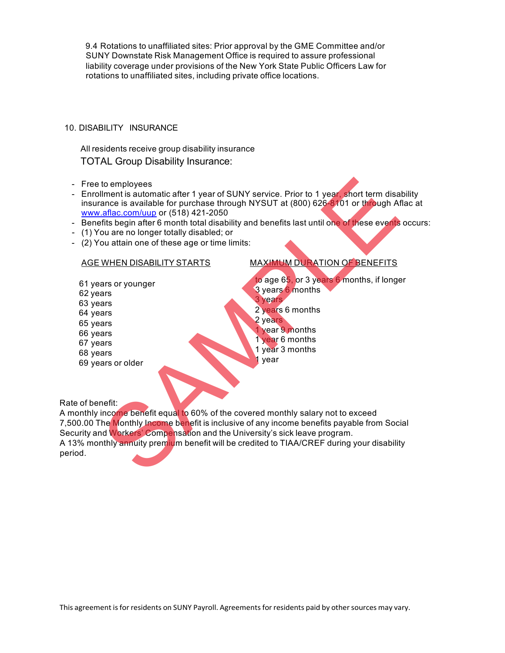9.4 Rotations to unaffiliated sites: Prior approval by the GME Committee and/or SUNY Downstate Risk Management Office is required to assure professional liability coverage under provisions of the New York State Public Officers Law for rotations to unaffiliated sites, including private office locations.

## 10. DISABILITY INSURANCE

All residents receive group disability insurance TOTAL Group Disability Insurance:

- Free to employees
- Enrollment is automatic after 1 year of SUNY service. Prior to 1 year, short term disability insurance is available for purchase through NYSUT at (800) 626-8101 or through Aflac at www.aflac.com/uup or (518) 421-2050
- Benefits begin after 6 month total disability and benefits last until one of these events occurs:
- (1) You are no longer totally disabled; or
- (2) You attain one of these age or time limits:

61 years or younger 62 years 63 years 64 years 65 years 66 years 67 years 68 years 69 years or older

# AGE WHEN DISABILITY STARTS MAXIMUM DURATION OF BENEFITS

to age 65, or 3 years 6 months, if longer 3 years 6 months 3 years 2 years 6 months 2 years vear 9 months 1 year 6 months 1 year 3 months 1 year to employees<br>
Ilment is automatic after 1 year of SUNY service. Prior to 1 year short term disa<br>
ance is available for purchase through NYSUT at (800) 626-6701 or through At<br>
ance is available for purchase through NYSUT at

Rate of benefit:

A monthly income benefit equal to 60% of the covered monthly salary not to exceed 7,500.00 The Monthly Income benefit is inclusive of any income benefits payable from Social Security and Workers' Compensation and the University's sick leave program. A 13% monthly annuity premium benefit will be credited to TIAA/CREF during your disability period.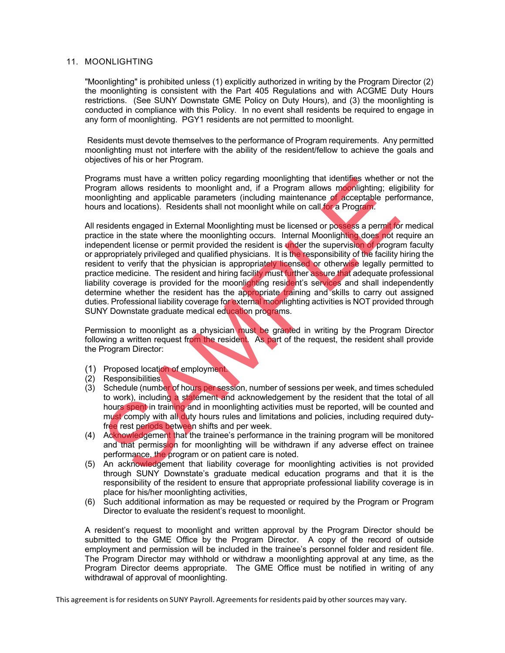#### 11. MOONLIGHTING

"Moonlighting" is prohibited unless (1) explicitly authorized in writing by the Program Director (2) the moonlighting is consistent with the Part 405 Regulations and with ACGME Duty Hours restrictions. (See SUNY Downstate GME Policy on Duty Hours), and (3) the moonlighting is conducted in compliance with this Policy. In no event shall residents be required to engage in any form of moonlighting. PGY1 residents are not permitted to moonlight.

Residents must devote themselves to the performance of Program requirements. Any permitted moonlighting must not interfere with the ability of the resident/fellow to achieve the goals and objectives of his or her Program.

Programs must have a written policy regarding moonlighting that identifies whether or not the Program allows residents to moonlight and, if a Program allows moonlighting; eligibility for moonlighting and applicable parameters (including maintenance of acceptable performance, hours and locations). Residents shall not moonlight while on call for a Program.

All residents engaged in External Moonlighting must be licensed or possess a permit for medical practice in the state where the moonlighting occurs. Internal Moonlighting does not require an independent license or permit provided the resident is under the supervision of program faculty or appropriately privileged and qualified physicians. It is the responsibility of the facility hiring the resident to verify that the physician is appropriately licensed or otherwise legally permitted to practice medicine. The resident and hiring facility must further assure that adequate professional liability coverage is provided for the moonlighting resident's services and shall independently determine whether the resident has the appropriate training and skills to carry out assigned duties. Professional liability coverage for external moonlighting activities is NOT provided through SUNY Downstate graduate medical education programs. prams must have a written policy regarding moonlighting that identifies whether<br>the relation such a proportion of the propriate including that including<br>injering and applicable parameters (including maintenance of acceptab

Permission to moonlight as a physician must be granted in writing by the Program Director following a written request from the resident. As part of the request, the resident shall provide the Program Director:

- (1) Proposed location of employment.
- (2) Responsibilities.
- (3) Schedule (number of hours per session, number of sessions per week, and times scheduled to work), including a statement and acknowledgement by the resident that the total of all hours spent in training and in moonlighting activities must be reported, will be counted and must comply with all duty hours rules and limitations and policies, including required dutyfree rest periods between shifts and per week.
- (4) Acknowledgement that the trainee's performance in the training program will be monitored and that permission for moonlighting will be withdrawn if any adverse effect on trainee performance, the program or on patient care is noted.
- (5) An acknowledgement that liability coverage for moonlighting activities is not provided through SUNY Downstate's graduate medical education programs and that it is the responsibility of the resident to ensure that appropriate professional liability coverage is in place for his/her moonlighting activities,
- (6) Such additional information as may be requested or required by the Program or Program Director to evaluate the resident's request to moonlight.

A resident's request to moonlight and written approval by the Program Director should be submitted to the GME Office by the Program Director. A copy of the record of outside employment and permission will be included in the trainee's personnel folder and resident file. The Program Director may withhold or withdraw a moonlighting approval at any time, as the Program Director deems appropriate. The GME Office must be notified in writing of any withdrawal of approval of moonlighting.

This agreement is for residents on SUNY Payroll. Agreements for residents paid by other sources may vary.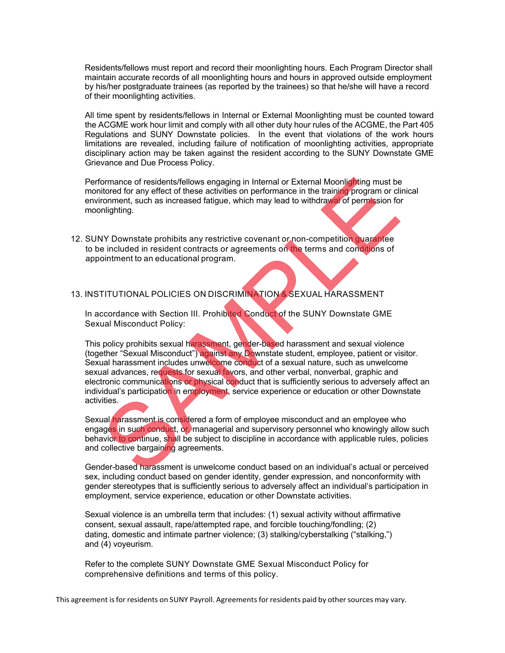Residents/fellows must report and record their moonlighting hours. Each Program Director shall maintain accurate records of all moonlighting hours and hours in approved outside employment by his/her postgraduate trainees (as reported by the trainees) so that he/she will have a record of their moonlighting activities.

All time spent by residents/fellows in Internal or External Moonlighting must be counted toward the ACGME work hour limit and comply with all other duty hour rules of the ACGME, the Part 405 Regulations and SUNY Downstate policies. In the event that violations of the work hours limitations are revealed, including failure of notification of moonlighting activities, appropriate disciplinary action may be taken against the resident according to the SUNY Downstate GME Grievance and Due Process Policy.

Performance of residents/fellows engaging in Internal or External Moonlighting must be monitored for any effect of these activities on performance in the training program or clinical environment, such as increased fatigue, which may lead to withdrawal of permission for moonlighting.

12. SUNY Downstate prohibits any restrictive covenant or non-competition guarantee to be included in resident contracts or agreements on the terms and conditions of appointment to an educational program.

#### 13. INSTITUTIONAL POLICIES ON DISCRIMINATION & SEXUAL HARASSMENT

In accordance with Section III. Prohibited Conduct of the SUNY Downstate GME Sexual Misconduct Policy:

This policy prohibits sexual harassment, gender-based harassment and sexual violence (together "Sexual Misconduct") against any Downstate student, employee, patient or visitor. Sexual harassment includes unwelcome conduct of a sexual nature, such as unwelcome sexual advances, requests for sexual favors, and other verbal, nonverbal, graphic and electronic communications or physical conduct that is sufficiently serious to adversely affect an individual's participation in employment, service experience or education or other Downstate activities. ormance of residents/fellows engaging in Internal or External Moonlighting must be<br>itored for any effect of these activities on performance in the training program or climate<br>from the it and a since activities on performan

Sexual harassment is considered a form of employee misconduct and an employee who engages in such conduct, or, managerial and supervisory personnel who knowingly allow such behavior to continue, shall be subject to discipline in accordance with applicable rules, policies and collective bargaining agreements.

Gender-based harassment is unwelcome conduct based on an individual's actual or perceived sex, including conduct based on gender identity, gender expression, and nonconformity with gender stereotypes that is sufficiently serious to adversely affect an individual's participation in employment, service experience, education or other Downstate activities.

Sexual violence is an umbrella term that includes: (1) sexual activity without affirmative consent, sexual assault, rape/attempted rape, and forcible touching/fondling; (2) dating, domestic and intimate partner violence; (3) stalking/cyberstalking ("stalking,") and (4) voyeurism.

Refer to the complete SUNY Downstate GME Sexual Misconduct Policy for comprehensive definitions and terms of this policy.

This agreement is for residents on SUNY Payroll. Agreements for residents paid by other sources may vary.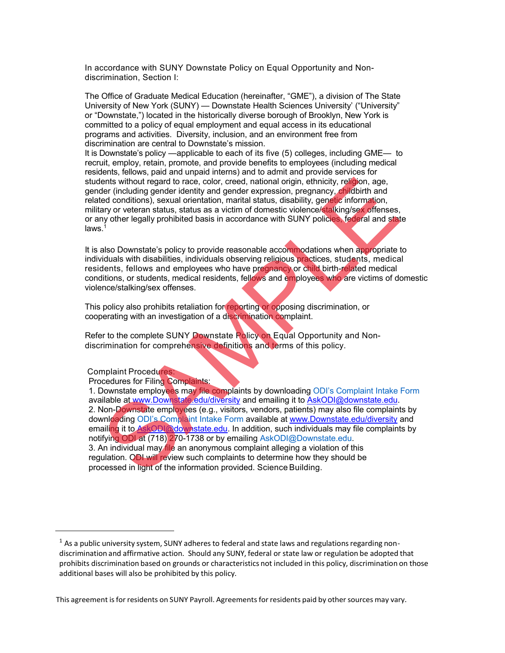In accordance with SUNY Downstate Policy on Equal Opportunity and Nondiscrimination, Section I:

The Office of Graduate Medical Education (hereinafter, "GME"), a division of The State University of New York (SUNY) — Downstate Health Sciences University' ("University" or "Downstate,") located in the historically diverse borough of Brooklyn, New York is committed to a policy of equal employment and equal access in its educational programs and activities. Diversity, inclusion, and an environment free from discrimination are central to Downstate's mission.

It is Downstate's policy —applicable to each of its five (5) colleges, including GME— to recruit, employ, retain, promote, and provide benefits to employees (including medical residents, fellows, paid and unpaid interns) and to admit and provide services for students without regard to race, color, creed, national origin, ethnicity, religion, age, gender (including gender identity and gender expression, pregnancy, childbirth and related conditions), sexual orientation, marital status, disability, genetic information, military or veteran status, status as a victim of domestic violence/stalking/sex offenses, or any other legally prohibited basis in accordance with SUNY policies, federal and state  $l$ aws. $1$ 

It is also Downstate's policy to provide reasonable accommodations when appropriate to individuals with disabilities, individuals observing religious practices, students, medical residents, fellows and employees who have pregnancy or child birth-related medical conditions, or students, medical residents, fellows and employees who are victims of domestic violence/stalking/sex offenses.

This policy also prohibits retaliation for reporting or opposing discrimination, or cooperating with an investigation of a discrimination complaint.

Refer to the complete SUNY Downstate Policy on Equal Opportunity and Nondiscrimination for comprehensive definitions and terms of this policy.

Complaint Procedures:

Procedures for Filing Complaints:

1. Downstate employees may file complaints by downloading ODI's Complaint Intake Form available at www.Downstate.edu/diversity and emailing it to AskODI@downstate.edu. 2. Non-Downstate employees (e.g., visitors, vendors, patients) may also file complaints by downloading ODI's Complaint Intake Form available at www.Downstate.edu/diversity and emailing it to AskODI@downstate.edu. In addition, such individuals may file complaints by notifying ODI at (718) 270-1738 or by emailing AskODI@Downstate.edu. 3. An individual may file an anonymous complaint alleging a violation of this regulation. ODI will review such complaints to determine how they should be processed in light of the information provided. Science Building. ents without regard to race, color, creed, national origin, ethnicity, religion, age,<br>ents without regard is relating a gender expression, pregnancy, childisith and<br>ed conditions), sexual orientation, marital status, disab

 $1$  As a public university system, SUNY adheres to federal and state laws and regulations regarding nondiscrimination and affirmative action. Should any SUNY, federal or state law or regulation be adopted that prohibits discrimination based on grounds or characteristics not included in this policy, discrimination on those additional bases will also be prohibited by this policy.

This agreement is for residents on SUNY Payroll. Agreements for residents paid by other sources may vary.